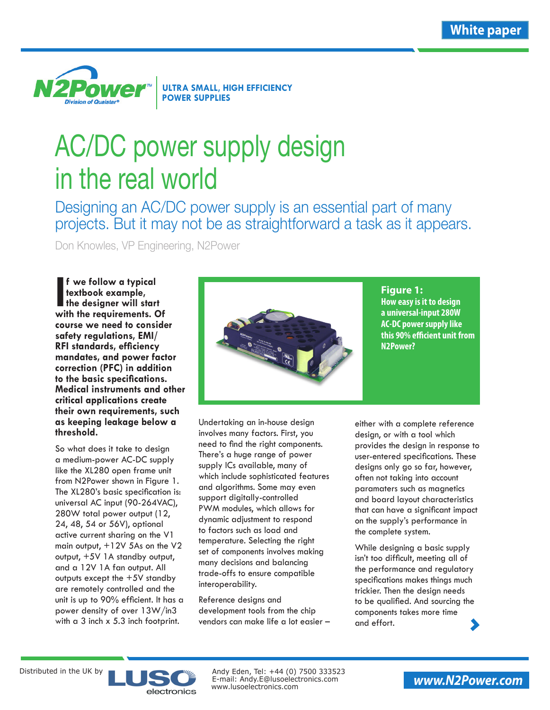**White paper**



# AC/DC power supply design in the real world

Designing an AC/DC power supply is an essential part of many projects. But it may not be as straightforward a task as it appears.

Don Knowles, VP Engineering, N2Power

**I** f we follow a typical<br>textbook example,<br>the designer will start<br>with the requirements. Of **f we follow a typical textbook example, the designer will start course we need to consider safety regulations, EMI/ RFI standards, efficiency mandates, and power factor correction (PFC) in addition to the basic specifications. Medical instruments and other critical applications create their own requirements, such as keeping leakage below a threshold.** 

So what does it take to design a medium-power AC-DC supply like the XL280 open frame unit [from N2Power shown in Figure 1.](http://www.n2power.com/sales_literature/XL280%20AC-DC_datasheet.pdf)  The XL280's basic specification is: universal AC input (90-264VAC), 280W total power output (12, 24, 48, 54 or 56V), optional active current sharing on the V1 main output, +12V 5As on the V2 output, +5V 1A standby output, and a 12V 1A fan output. All outputs except the +5V standby are remotely controlled and the unit is up to 90% efficient. It has a power density of over 13W/in3 with a 3 inch x 5.3 inch footprint.



**Figure 1: How easy is it to design a universal-input 280W [AC-DC power supply li](http://www.n2power.com/sales_literature/XL280%20AC-DC_datasheet.pdf)ke this 90% efficient unit from N2Power?**

Undertaking an in-house design involves many factors. First, you need to find the right components. There's a huge range of power supply ICs available, many of which include sophisticated features and algorithms. Some may even support digitally-controlled PWM modules, which allows for dynamic adjustment to respond to factors such as load and temperature. Selecting the right set of components involves making many decisions and balancing trade-offs to ensure compatible interoperability.

Reference designs and development tools from the chip vendors can make life a lot easier –

either with a complete reference design, or with a tool which provides the design in response to user-entered specifications. These designs only go so far, however, often not taking into account paramaters such as magnetics and board layout characteristics that can have a significant impact on the supply's performance in the complete system.

While designing a basic supply isn't too difficult, meeting all of the performance and regulatory specifications makes things much trickier. Then the design needs to be qualified. And sourcing the components takes more time and effort.



Distributed in the UK by  $\blacksquare$ www.lusoelectronics.com E-mail: Andy.E@lusoelectronics.com